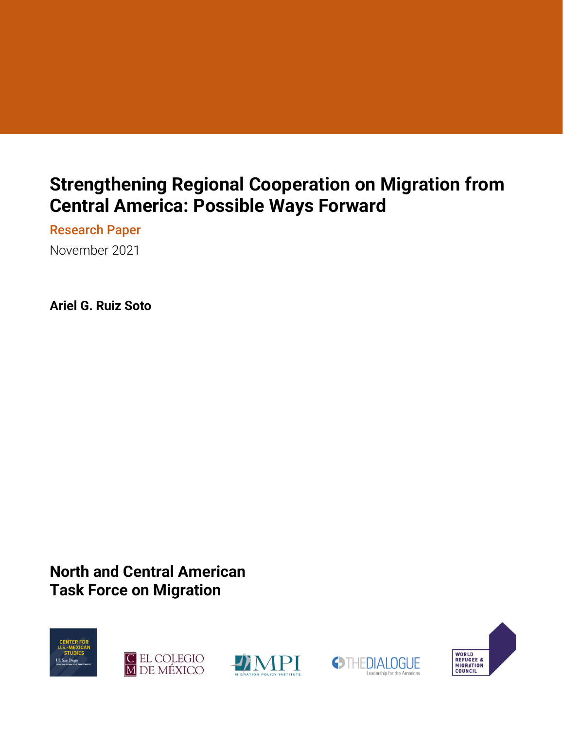# **Strengthening Regional Cooperation on Migration from Central America: Possible Ways Forward**

Research Paper

November 2021

**Ariel G. Ruiz Soto**

# **North and Central American Task Force on Migration**









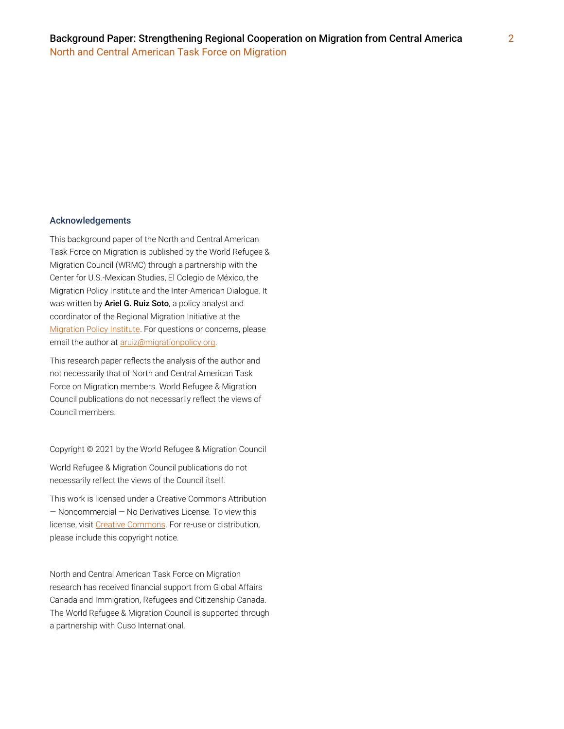#### Acknowledgements

This background paper of the North and Central American Task Force on Migration is published by the World Refugee & Migration Council (WRMC) through a partnership with the Center for U.S.-Mexican Studies, El Colegio de México, the Migration Policy Institute and the Inter-American Dialogue. It was written by Ariel G. Ruiz Soto, a policy analyst and coordinator of the Regional Migration Initiative at the [Migration Policy Institute.](https://www.migrationpolicy.org/) For questions or concerns, please email the author at **aruiz@migrationpolicy.org**.

This research paper reflects the analysis of the author and not necessarily that of North and Central American Task Force on Migration members. World Refugee & Migration Council publications do not necessarily reflect the views of Council members.

Copyright © 2021 by the World Refugee & Migration Council

World Refugee & Migration Council publications do not necessarily reflect the views of the Council itself.

This work is licensed under a Creative Commons Attribution — Noncommercial — No Derivatives License. To view this license, visi[t Creative Commons.](https://creativecommons.org/licenses/by-nc-nd/3.0/) For re-use or distribution, please include this copyright notice.

North and Central American Task Force on Migration research has received financial support from Global Affairs Canada and Immigration, Refugees and Citizenship Canada. The World Refugee & Migration Council is supported through a partnership with Cuso International.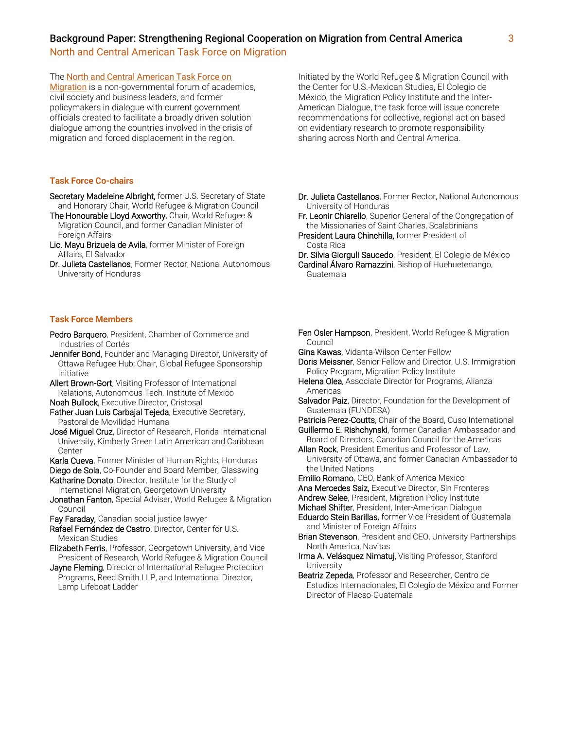#### Background Paper: Strengthening Regional Cooperation on Migration from Central America 3

North and Central American Task Force on Migration

#### The **North and Central American Task Force on**

[Migration](https://wrmcouncil.org/taskforce) is a non-governmental forum of academics, civil society and business leaders, and former policymakers in dialogue with current government officials created to facilitate a broadly driven solution dialogue among the countries involved in the crisis of migration and forced displacement in the region.

#### **Task Force Co-chairs**

- Secretary Madeleine Albright, former U.S. Secretary of State and Honorary Chair, World Refugee & Migration Council
- The Honourable Lloyd Axworthy, Chair, World Refugee & Migration Council, and former Canadian Minister of Foreign Affairs
- Lic. Mayu Brizuela de Avila, former Minister of Foreign Affairs, El Salvador
- Dr. Julieta Castellanos, Former Rector, National Autonomous University of Honduras

#### **Task Force Members**

- Pedro Barquero, President, Chamber of Commerce and Industries of Cortés
- Jennifer Bond, Founder and Managing Director, University of Ottawa Refugee Hub; Chair, Global Refugee Sponsorship Initiative
- Allert Brown-Gort, Visiting Professor of International Relations, Autonomous Tech. Institute of Mexico
- Noah Bullock, Executive Director, Cristosal
- Father Juan Luis Carbajal Tejeda, Executive Secretary, Pastoral de Movilidad Humana
- José Miguel Cruz, Director of Research, Florida International University, Kimberly Green Latin American and Caribbean Center
- Karla Cueva, Former Minister of Human Rights, Honduras
- Diego de Sola, Co-Founder and Board Member, Glasswing Katharine Donato, Director, Institute for the Study of
- International Migration, Georgetown University
- Jonathan Fanton, Special Adviser, World Refugee & Migration Council
- Fay Faraday, Canadian social justice lawyer
- Rafael Fernández de Castro, Director, Center for U.S.- Mexican Studies
- Elizabeth Ferris, Professor, Georgetown University, and Vice President of Research, World Refugee & Migration Council
- Jayne Fleming, Director of International Refugee Protection Programs, Reed Smith LLP, and International Director, Lamp Lifeboat Ladder

Initiated by the World Refugee & Migration Council with the Center for U.S.-Mexican Studies, El Colegio de México, the Migration Policy Institute and the Inter-American Dialogue, the task force will issue concrete recommendations for collective, regional action based on evidentiary research to promote responsibility sharing across North and Central America.

- Dr. Julieta Castellanos, Former Rector, National Autonomous University of Honduras
- Fr. Leonir Chiarello, Superior General of the Congregation of the Missionaries of Saint Charles, Scalabrinians
- President Laura Chinchilla, former President of Costa Rica
- Dr. Silvia Giorguli Saucedo, President, El Colegio de México Cardinal Álvaro Ramazzini, Bishop of Huehuetenango,
	- Guatemala
- Fen Osler Hampson, President, World Refugee & Migration Council
- Gina Kawas, Vidanta-Wilson Center Fellow
- Doris Meissner, Senior Fellow and Director, U.S. Immigration Policy Program, Migration Policy Institute
- Helena Olea, Associate Director for Programs, Alianza Americas
- Salvador Paiz, Director, Foundation for the Development of Guatemala (FUNDESA)
- Patricia Perez-Coutts, Chair of the Board, Cuso International Guillermo E. Rishchynski, former Canadian Ambassador and
- Board of Directors, Canadian Council for the Americas Allan Rock, President Emeritus and Professor of Law,
- University of Ottawa, and former Canadian Ambassador to the United Nations
- Emilio Romano, CEO, Bank of America Mexico
- Ana Mercedes Saiz, Executive Director, Sin Fronteras
- Andrew Selee, President, Migration Policy Institute
- Michael Shifter, President, Inter-American Dialogue
- Eduardo Stein Barillas, former Vice President of Guatemala and Minister of Foreign Affairs
- Brian Stevenson, President and CEO, University Partnerships North America, Navitas
- Irma A. Velásquez Nimatuj, Visiting Professor, Stanford University
- Beatriz Zepeda, Professor and Researcher, Centro de Estudios Internacionales, El Colegio de México and Former Director of Flacso-Guatemala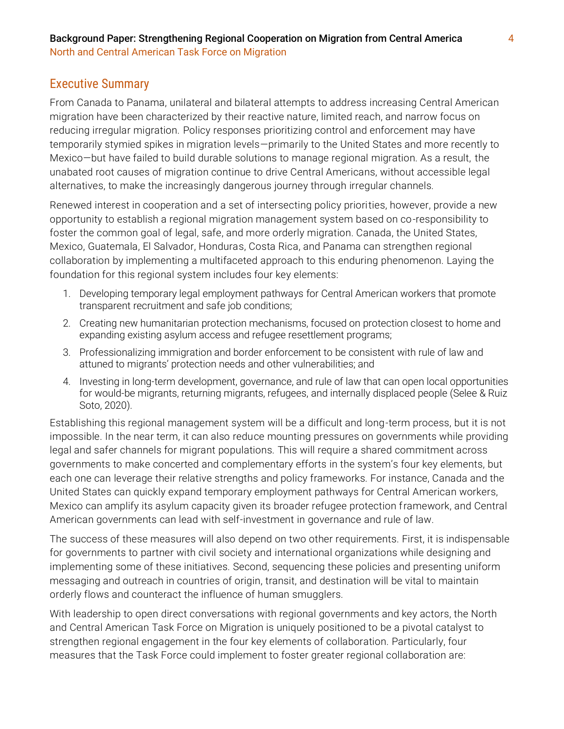## Executive Summary

From Canada to Panama, unilateral and bilateral attempts to address increasing Central American migration have been characterized by their reactive nature, limited reach, and narrow focus on reducing irregular migration. Policy responses prioritizing control and enforcement may have temporarily stymied spikes in migration levels—primarily to the United States and more recently to Mexico—but have failed to build durable solutions to manage regional migration. As a result, the unabated root causes of migration continue to drive Central Americans, without accessible legal alternatives, to make the increasingly dangerous journey through irregular channels.

Renewed interest in cooperation and a set of intersecting policy priorities, however, provide a new opportunity to establish a regional migration management system based on co-responsibility to foster the common goal of legal, safe, and more orderly migration. Canada, the United States, Mexico, Guatemala, El Salvador, Honduras, Costa Rica, and Panama can strengthen regional collaboration by implementing a multifaceted approach to this enduring phenomenon. Laying the foundation for this regional system includes four key elements:

- 1. Developing temporary legal employment pathways for Central American workers that promote transparent recruitment and safe job conditions;
- 2. Creating new humanitarian protection mechanisms, focused on protection closest to home and expanding existing asylum access and refugee resettlement programs;
- 3. Professionalizing immigration and border enforcement to be consistent with rule of law and attuned to migrants' protection needs and other vulnerabilities; and
- 4. Investing in long-term development, governance, and rule of law that can open local opportunities for would-be migrants, returning migrants, refugees, and internally displaced people (Selee & Ruiz Soto, 2020).

Establishing this regional management system will be a difficult and long-term process, but it is not impossible. In the near term, it can also reduce mounting pressures on governments while providing legal and safer channels for migrant populations. This will require a shared commitment across governments to make concerted and complementary efforts in the system's four key elements, but each one can leverage their relative strengths and policy frameworks. For instance, Canada and the United States can quickly expand temporary employment pathways for Central American workers, Mexico can amplify its asylum capacity given its broader refugee protection framework, and Central American governments can lead with self-investment in governance and rule of law.

The success of these measures will also depend on two other requirements. First, it is indispensable for governments to partner with civil society and international organizations while designing and implementing some of these initiatives. Second, sequencing these policies and presenting uniform messaging and outreach in countries of origin, transit, and destination will be vital to maintain orderly flows and counteract the influence of human smugglers.

With leadership to open direct conversations with regional governments and key actors, the North and Central American Task Force on Migration is uniquely positioned to be a pivotal catalyst to strengthen regional engagement in the four key elements of collaboration. Particularly, four measures that the Task Force could implement to foster greater regional collaboration are: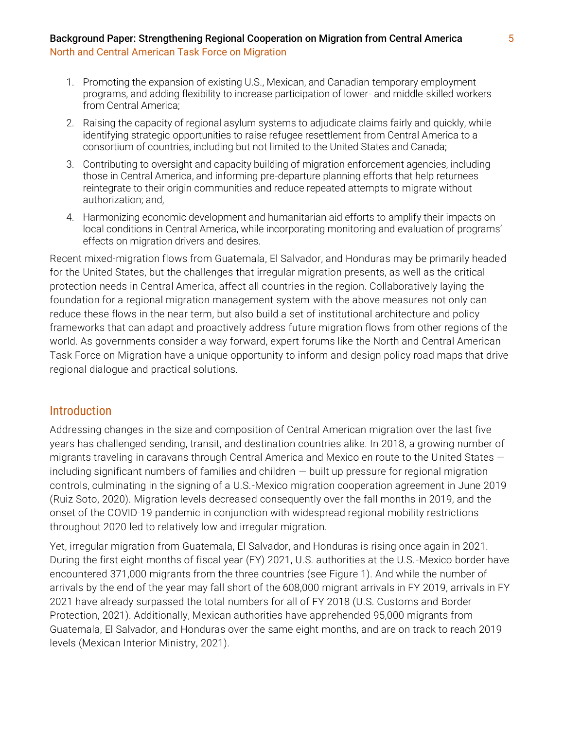# Background Paper: Strengthening Regional Cooperation on Migration from Central America  $5$

North and Central American Task Force on Migration

- 1. Promoting the expansion of existing U.S., Mexican, and Canadian temporary employment programs, and adding flexibility to increase participation of lower- and middle-skilled workers from Central America;
- 2. Raising the capacity of regional asylum systems to adjudicate claims fairly and quickly, while identifying strategic opportunities to raise refugee resettlement from Central America to a consortium of countries, including but not limited to the United States and Canada;
- 3. Contributing to oversight and capacity building of migration enforcement agencies, including those in Central America, and informing pre-departure planning efforts that help returnees reintegrate to their origin communities and reduce repeated attempts to migrate without authorization; and,
- 4. Harmonizing economic development and humanitarian aid efforts to amplify their impacts on local conditions in Central America, while incorporating monitoring and evaluation of programs' effects on migration drivers and desires.

Recent mixed-migration flows from Guatemala, El Salvador, and Honduras may be primarily headed for the United States, but the challenges that irregular migration presents, as well as the critical protection needs in Central America, affect all countries in the region. Collaboratively laying the foundation for a regional migration management system with the above measures not only can reduce these flows in the near term, but also build a set of institutional architecture and policy frameworks that can adapt and proactively address future migration flows from other regions of the world. As governments consider a way forward, expert forums like the North and Central American Task Force on Migration have a unique opportunity to inform and design policy road maps that drive regional dialogue and practical solutions.

# **Introduction**

Addressing changes in the size and composition of Central American migration over the last five years has challenged sending, transit, and destination countries alike. In 2018, a growing number of migrants traveling in caravans through Central America and Mexico en route to the United States including significant numbers of families and children  $-$  built up pressure for regional migration controls, culminating in the signing of a U.S.-Mexico migration cooperation agreement in June 2019 (Ruiz Soto, 2020). Migration levels decreased consequently over the fall months in 2019, and the onset of the COVID-19 pandemic in conjunction with widespread regional mobility restrictions throughout 2020 led to relatively low and irregular migration.

Yet, irregular migration from Guatemala, El Salvador, and Honduras is rising once again in 2021. During the first eight months of fiscal year (FY) 2021, U.S. authorities at the U.S.-Mexico border have encountered 371,000 migrants from the three countries (see Figure 1). And while the number of arrivals by the end of the year may fall short of the 608,000 migrant arrivals in FY 2019, arrivals in FY 2021 have already surpassed the total numbers for all of FY 2018 (U.S. Customs and Border Protection, 2021). Additionally, Mexican authorities have apprehended 95,000 migrants from Guatemala, El Salvador, and Honduras over the same eight months, and are on track to reach 2019 levels (Mexican Interior Ministry, 2021).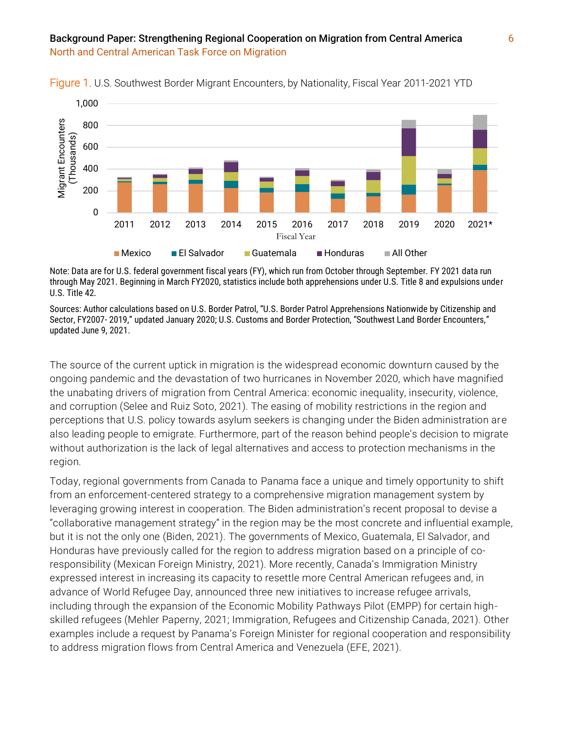## Background Paper: Strengthening Regional Cooperation on Migration from Central America 6 North and Central American Task Force on Migration





Note: Data are for U.S. federal government fiscal years (FY), which run from October through September. FY 2021 data run through May 2021. Beginning in March FY2020, statistics include both apprehensions under U.S. Title 8 and expulsions under U.S. Title 42.

Sources: Author calculations based on U.S. Border Patrol, "U.S. Border Patrol Apprehensions Nationwide by Citizenship and Sector, FY2007- 2019," updated January 2020; U.S. Customs and Border Protection, "Southwest Land Border Encounters," updated June 9, 2021.

The source of the current uptick in migration is the widespread economic downturn caused by the ongoing pandemic and the devastation of two hurricanes in November 2020, which have magnified the unabating drivers of migration from Central America: economic inequality, insecurity, violence, and corruption (Selee and Ruiz Soto, 2021). The easing of mobility restrictions in the region and perceptions that U.S. policy towards asylum seekers is changing under the Biden administration are also leading people to emigrate. Furthermore, part of the reason behind people's decision to migrate without authorization is the lack of legal alternatives and access to protection mechanisms in the region.

Today, regional governments from Canada to Panama face a unique and timely opportunity to shift from an enforcement-centered strategy to a comprehensive migration management system by leveraging growing interest in cooperation. The Biden administration's recent proposal to devise a "collaborative management strategy" in the region may be the most concrete and influential example, but it is not the only one (Biden, 2021). The governments of Mexico, Guatemala, El Salvador, and Honduras have previously called for the region to address migration based on a principle of coresponsibility (Mexican Foreign Ministry, 2021). More recently, Canada's Immigration Ministry expressed interest in increasing its capacity to resettle more Central American refugees and, in advance of World Refugee Day, announced three new initiatives to increase refugee arrivals, including through the expansion of the Economic Mobility Pathways Pilot (EMPP) for certain highskilled refugees (Mehler Paperny, 2021; Immigration, Refugees and Citizenship Canada, 2021). Other examples include a request by Panama's Foreign Minister for regional cooperation and responsibility to address migration flows from Central America and Venezuela (EFE, 2021).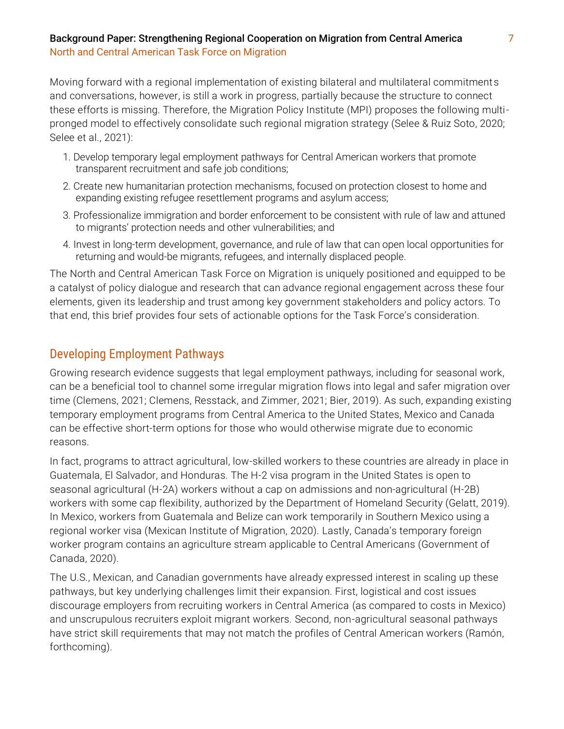### Background Paper: Strengthening Regional Cooperation on Migration from Central America 7 North and Central American Task Force on Migration

Moving forward with a regional implementation of existing bilateral and multilateral commitments and conversations, however, is still a work in progress, partially because the structure to connect these efforts is missing. Therefore, the Migration Policy Institute (MPI) proposes the following multipronged model to effectively consolidate such regional migration strategy (Selee & Ruiz Soto, 2020; Selee et al., 2021):

- 1. Develop temporary legal employment pathways for Central American workers that promote transparent recruitment and safe job conditions;
- 2. Create new humanitarian protection mechanisms, focused on protection closest to home and expanding existing refugee resettlement programs and asylum access;
- 3. Professionalize immigration and border enforcement to be consistent with rule of law and attuned to migrants' protection needs and other vulnerabilities; and
- 4. Invest in long-term development, governance, and rule of law that can open local opportunities for returning and would-be migrants, refugees, and internally displaced people.

The North and Central American Task Force on Migration is uniquely positioned and equipped to be a catalyst of policy dialogue and research that can advance regional engagement across these four elements, given its leadership and trust among key government stakeholders and policy actors. To that end, this brief provides four sets of actionable options for the Task Force's consideration.

# Developing Employment Pathways

Growing research evidence suggests that legal employment pathways, including for seasonal work, can be a beneficial tool to channel some irregular migration flows into legal and safer migration over time (Clemens, 2021; Clemens, Resstack, and Zimmer, 2021; Bier, 2019). As such, expanding existing temporary employment programs from Central America to the United States, Mexico and Canada can be effective short-term options for those who would otherwise migrate due to economic reasons.

In fact, programs to attract agricultural, low-skilled workers to these countries are already in place in Guatemala, El Salvador, and Honduras. The H-2 visa program in the United States is open to seasonal agricultural (H-2A) workers without a cap on admissions and non-agricultural (H-2B) workers with some cap flexibility, authorized by the Department of Homeland Security (Gelatt, 2019). In Mexico, workers from Guatemala and Belize can work temporarily in Southern Mexico using a regional worker visa (Mexican Institute of Migration, 2020). Lastly, Canada's temporary foreign worker program contains an agriculture stream applicable to Central Americans (Government of Canada, 2020).

The U.S., Mexican, and Canadian governments have already expressed interest in scaling up these pathways, but key underlying challenges limit their expansion. First, logistical and cost issues discourage employers from recruiting workers in Central America (as compared to costs in Mexico) and unscrupulous recruiters exploit migrant workers. Second, non-agricultural seasonal pathways have strict skill requirements that may not match the profiles of Central American workers (Ramón, forthcoming).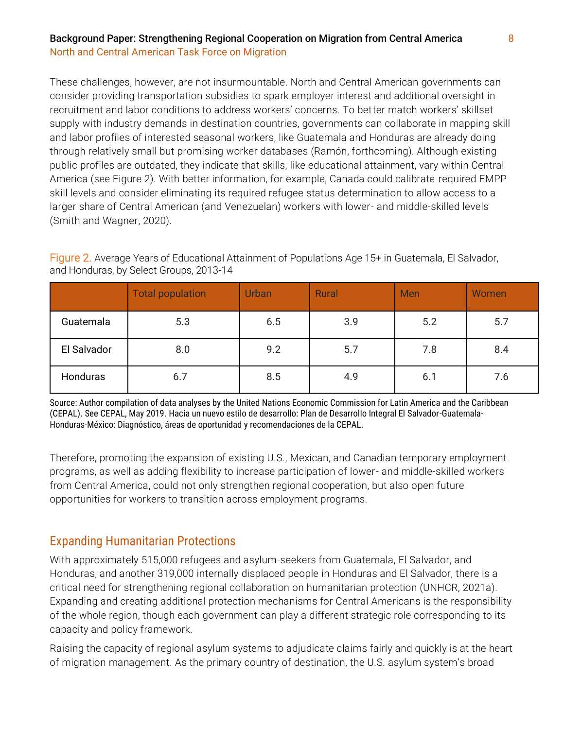## Background Paper: Strengthening Regional Cooperation on Migration from Central America 8 North and Central American Task Force on Migration

These challenges, however, are not insurmountable. North and Central American governments can consider providing transportation subsidies to spark employer interest and additional oversight in recruitment and labor conditions to address workers' concerns. To better match workers' skillset supply with industry demands in destination countries, governments can collaborate in mapping skill and labor profiles of interested seasonal workers, like Guatemala and Honduras are already doing through relatively small but promising worker databases (Ramón, forthcoming). Although existing public profiles are outdated, they indicate that skills, like educational attainment, vary within Central America (see Figure 2). With better information, for example, Canada could calibrate required EMPP skill levels and consider eliminating its required refugee status determination to allow access to a larger share of Central American (and Venezuelan) workers with lower- and middle-skilled levels (Smith and Wagner, 2020).

Figure 2. Average Years of Educational Attainment of Populations Age 15+ in Guatemala, El Salvador, and Honduras, by Select Groups, 2013-14

|             | <b>Total population</b> | Urban | Rural | Men | Women |
|-------------|-------------------------|-------|-------|-----|-------|
| Guatemala   | 5.3                     | 6.5   | 3.9   | 5.2 | 5.7   |
| El Salvador | 8.0                     | 9.2   | 5.7   | 7.8 | 8.4   |
| Honduras    | 6.7                     | 8.5   | 4.9   | 6.1 | 7.6   |

Source: Author compilation of data analyses by the United Nations Economic Commission for Latin America and the Caribbean (CEPAL). See CEPAL, May 2019. Hacia un nuevo estilo de desarrollo: Plan de Desarrollo Integral El Salvador-Guatemala-Honduras-México: Diagnóstico, áreas de oportunidad y recomendaciones de la CEPAL.

Therefore, promoting the expansion of existing U.S., Mexican, and Canadian temporary employment programs, as well as adding flexibility to increase participation of lower- and middle-skilled workers from Central America, could not only strengthen regional cooperation, but also open future opportunities for workers to transition across employment programs.

# Expanding Humanitarian Protections

With approximately 515,000 refugees and asylum-seekers from Guatemala, El Salvador, and Honduras, and another 319,000 internally displaced people in Honduras and El Salvador, there is a critical need for strengthening regional collaboration on humanitarian protection (UNHCR, 2021a). Expanding and creating additional protection mechanisms for Central Americans is the responsibility of the whole region, though each government can play a different strategic role corresponding to its capacity and policy framework.

Raising the capacity of regional asylum systems to adjudicate claims fairly and quickly is at the heart of migration management. As the primary country of destination, the U.S. asylum system's broad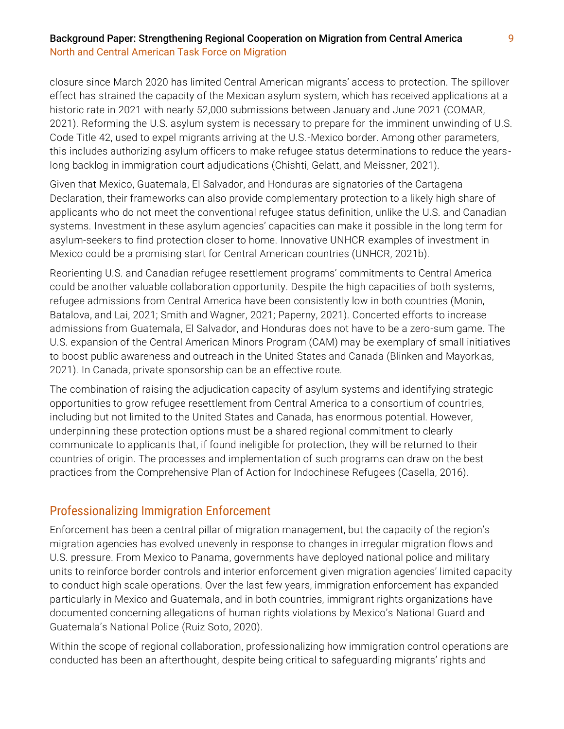### Background Paper: Strengthening Regional Cooperation on Migration from Central America 9 North and Central American Task Force on Migration

closure since March 2020 has limited Central American migrants' access to protection. The spillover effect has strained the capacity of the Mexican asylum system, which has received applications at a historic rate in 2021 with nearly 52,000 submissions between January and June 2021 (COMAR, 2021). Reforming the U.S. asylum system is necessary to prepare for the imminent unwinding of U.S. Code Title 42, used to expel migrants arriving at the U.S.-Mexico border. Among other parameters, this includes authorizing asylum officers to make refugee status determinations to reduce the yearslong backlog in immigration court adjudications (Chishti, Gelatt, and Meissner, 2021).

Given that Mexico, Guatemala, El Salvador, and Honduras are signatories of the Cartagena Declaration, their frameworks can also provide complementary protection to a likely high share of applicants who do not meet the conventional refugee status definition, unlike the U.S. and Canadian systems. Investment in these asylum agencies' capacities can make it possible in the long term for asylum-seekers to find protection closer to home. Innovative UNHCR examples of investment in Mexico could be a promising start for Central American countries (UNHCR, 2021b).

Reorienting U.S. and Canadian refugee resettlement programs' commitments to Central America could be another valuable collaboration opportunity. Despite the high capacities of both systems, refugee admissions from Central America have been consistently low in both countries (Monin, Batalova, and Lai, 2021; Smith and Wagner, 2021; Paperny, 2021). Concerted efforts to increase admissions from Guatemala, El Salvador, and Honduras does not have to be a zero-sum game. The U.S. expansion of the Central American Minors Program (CAM) may be exemplary of small initiatives to boost public awareness and outreach in the United States and Canada (Blinken and Mayork as, 2021). In Canada, private sponsorship can be an effective route.

The combination of raising the adjudication capacity of asylum systems and identifying strategic opportunities to grow refugee resettlement from Central America to a consortium of countries, including but not limited to the United States and Canada, has enormous potential. However, underpinning these protection options must be a shared regional commitment to clearly communicate to applicants that, if found ineligible for protection, they will be returned to their countries of origin. The processes and implementation of such programs can draw on the best practices from the Comprehensive Plan of Action for Indochinese Refugees (Casella, 2016).

# Professionalizing Immigration Enforcement

Enforcement has been a central pillar of migration management, but the capacity of the region's migration agencies has evolved unevenly in response to changes in irregular migration flows and U.S. pressure. From Mexico to Panama, governments have deployed national police and military units to reinforce border controls and interior enforcement given migration agencies' limited capacity to conduct high scale operations. Over the last few years, immigration enforcement has expanded particularly in Mexico and Guatemala, and in both countries, immigrant rights organizations have documented concerning allegations of human rights violations by Mexico's National Guard and Guatemala's National Police (Ruiz Soto, 2020).

Within the scope of regional collaboration, professionalizing how immigration control operations are conducted has been an afterthought, despite being critical to safeguarding migrants' rights and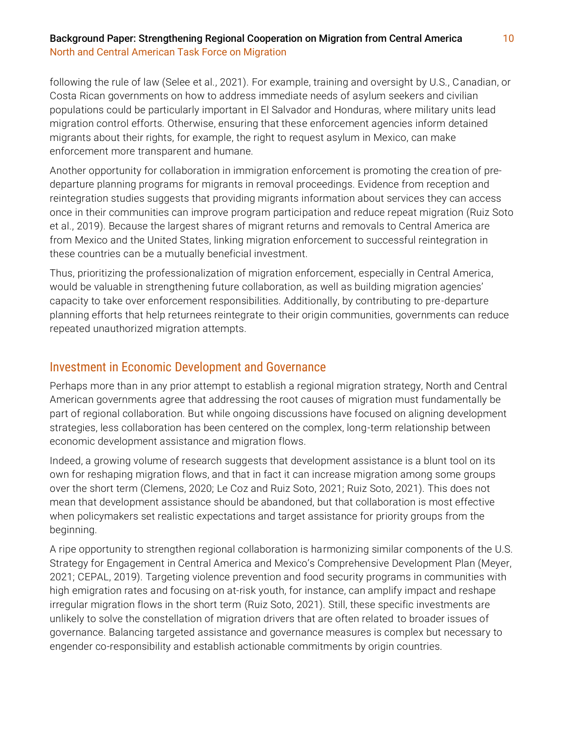## Background Paper: Strengthening Regional Cooperation on Migration from Central America 10 North and Central American Task Force on Migration

following the rule of law (Selee et al., 2021). For example, training and oversight by U.S., Canadian, or Costa Rican governments on how to address immediate needs of asylum seekers and civilian populations could be particularly important in El Salvador and Honduras, where military units lead migration control efforts. Otherwise, ensuring that these enforcement agencies inform detained migrants about their rights, for example, the right to request asylum in Mexico, can make enforcement more transparent and humane.

Another opportunity for collaboration in immigration enforcement is promoting the creation of predeparture planning programs for migrants in removal proceedings. Evidence from reception and reintegration studies suggests that providing migrants information about services they can access once in their communities can improve program participation and reduce repeat migration (Ruiz Soto et al., 2019). Because the largest shares of migrant returns and removals to Central America are from Mexico and the United States, linking migration enforcement to successful reintegration in these countries can be a mutually beneficial investment.

Thus, prioritizing the professionalization of migration enforcement, especially in Central America, would be valuable in strengthening future collaboration, as well as building migration agencies' capacity to take over enforcement responsibilities. Additionally, by contributing to pre-departure planning efforts that help returnees reintegrate to their origin communities, governments can reduce repeated unauthorized migration attempts.

## Investment in Economic Development and Governance

Perhaps more than in any prior attempt to establish a regional migration strategy, North and Central American governments agree that addressing the root causes of migration must fundamentally be part of regional collaboration. But while ongoing discussions have focused on aligning development strategies, less collaboration has been centered on the complex, long-term relationship between economic development assistance and migration flows.

Indeed, a growing volume of research suggests that development assistance is a blunt tool on its own for reshaping migration flows, and that in fact it can increase migration among some groups over the short term (Clemens, 2020; Le Coz and Ruiz Soto, 2021; Ruiz Soto, 2021). This does not mean that development assistance should be abandoned, but that collaboration is most effective when policymakers set realistic expectations and target assistance for priority groups from the beginning.

A ripe opportunity to strengthen regional collaboration is harmonizing similar components of the U.S. Strategy for Engagement in Central America and Mexico's Comprehensive Development Plan (Meyer, 2021; CEPAL, 2019). Targeting violence prevention and food security programs in communities with high emigration rates and focusing on at-risk youth, for instance, can amplify impact and reshape irregular migration flows in the short term (Ruiz Soto, 2021). Still, these specific investments are unlikely to solve the constellation of migration drivers that are often related to broader issues of governance. Balancing targeted assistance and governance measures is complex but necessary to engender co-responsibility and establish actionable commitments by origin countries.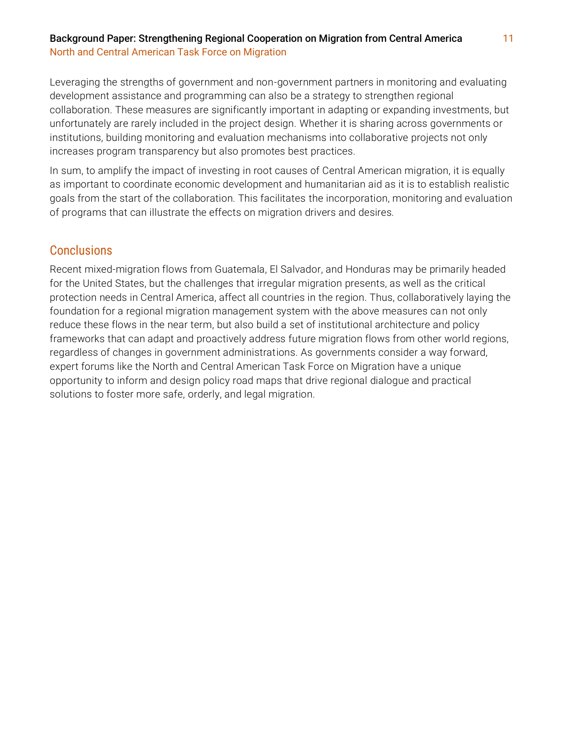## Background Paper: Strengthening Regional Cooperation on Migration from Central America 11 North and Central American Task Force on Migration

Leveraging the strengths of government and non-government partners in monitoring and evaluating development assistance and programming can also be a strategy to strengthen regional collaboration. These measures are significantly important in adapting or expanding investments, but unfortunately are rarely included in the project design. Whether it is sharing across governments or institutions, building monitoring and evaluation mechanisms into collaborative projects not only increases program transparency but also promotes best practices.

In sum, to amplify the impact of investing in root causes of Central American migration, it is equally as important to coordinate economic development and humanitarian aid as it is to establish realistic goals from the start of the collaboration. This facilitates the incorporation, monitoring and evaluation of programs that can illustrate the effects on migration drivers and desires.

## **Conclusions**

Recent mixed-migration flows from Guatemala, El Salvador, and Honduras may be primarily headed for the United States, but the challenges that irregular migration presents, as well as the critical protection needs in Central America, affect all countries in the region. Thus, collaboratively laying the foundation for a regional migration management system with the above measures can not only reduce these flows in the near term, but also build a set of institutional architecture and policy frameworks that can adapt and proactively address future migration flows from other world regions, regardless of changes in government administrations. As governments consider a way forward, expert forums like the North and Central American Task Force on Migration have a unique opportunity to inform and design policy road maps that drive regional dialogue and practical solutions to foster more safe, orderly, and legal migration.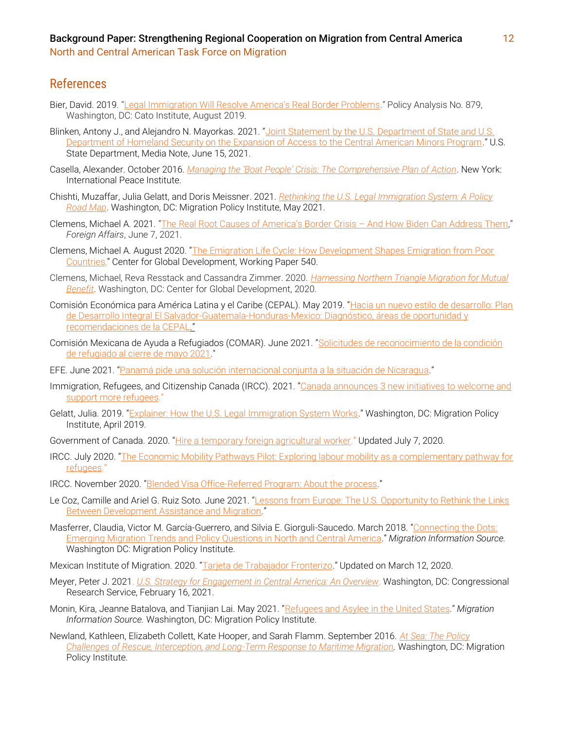North and Central American Task Force on Migration

## References

- Bier, David. 2019. ["Legal Immigration Will Resolve America's Real Border Problems.](https://www.cato.org/publications/policy-analysis/legal-immigration-will-resolve-americas-real-border-problems)" Policy Analysis No. 879, Washington, DC: Cato Institute, August 2019.
- Blinken, Antony J., and Alejandro N. Mayorkas. 2021. "Joint Statement by the U.S. Department of State and U.S. [Department of Homeland Security on the Expansion of Access to the Central American Minors Program](https://www.state.gov/joint-statement-by-the-u-s-department-of-state-and-u-s-department-of-homeland-security-on-the-expansion-of-access-to-the-central-american-minors-program/)." U.S. State Department, Media Note, June 15, 2021.
- Casella, Alexander. October 2016. *[Managing the 'Boat People' Crisis: The Comprehensive Plan of Action](http://www.ipinst.org/wp-content/uploads/2016/10/1610-Managing-the-Boat-People-Crisis.pdf)*. New York: International Peace Institute.
- Chishti, Muzaffar, Julia Gelatt, and Doris Meissner. 2021. *[Rethinking the U.S. Legal Immigration System: A Policy](https://www.migrationpolicy.org/research/rethinking-us-legal-immigration-road-map)  [Road Map](https://www.migrationpolicy.org/research/rethinking-us-legal-immigration-road-map)*. Washington, DC: Migration Policy Institute, May 2021.
- Clemens, Michael A. 2021. ["The Real Root Causes of America's Border Crisis –](https://www.foreignaffairs.com/articles/central-america-caribbean/2021-06-07/real-root-causes-americas-border-crisis) And How Biden Can Address Them," *Foreign Affairs*, June 7, 2021.
- Clemens, Michael A. August 2020. "[The Emigration Life Cycle: How Development Shapes Emigration from Poor](http://www.cgdev.org/publication/emigration-life-cycle-how-development-shapes-emigration-poor-countries)  [Countries,](http://www.cgdev.org/publication/emigration-life-cycle-how-development-shapes-emigration-poor-countries)" Center for Global Development, Working Paper 540.
- Clemens, Michael, Reva Resstack and Cassandra Zimmer. 2020. *[Harnessing Northern Triangle Migration for Mutual](https://www.cgdev.org/publication/harnessing-northern-triangle-migration-mutual-benefit)  [Benefit](https://www.cgdev.org/publication/harnessing-northern-triangle-migration-mutual-benefit)*. Washington, DC: Center for Global Development, 2020.
- Comisión Económica para América Latina y el Caribe (CEPAL). May 2019. "Hacia un nuevo estilo de desarrollo: Plan [de Desarrollo Integral El Salvador-Guatemala-Honduras-Mexico: Diagnóstico, áreas de oportunidad y](https://www.gob.mx/cms/uploads/attachment/file/462720/34.Hacia_un_nuevo_estilo_de_desarrollo___Plan_de_Desarrollo_Integral_El.pdf)  [recomendaciones de la CEPAL](https://www.gob.mx/cms/uploads/attachment/file/462720/34.Hacia_un_nuevo_estilo_de_desarrollo___Plan_de_Desarrollo_Integral_El.pdf)[."](https://www.gob.mx/cms/uploads/attachment/file/462720/34.Hacia_un_nuevo_estilo_de_desarrollo___Plan_de_Desarrollo_Integral_El.pdf)
- Comisión Mexicana de Ayuda a Refugiados (COMAR). June 2021. "[Solicitudes de reconocimiento de la condición](http://www.gob.mx/cms/uploads/attachment/file/643919/CIERRE_Mayo-2021__1-Junio-2021_.pdf)  [de refugiado al cierre de mayo 2021.](http://www.gob.mx/cms/uploads/attachment/file/643919/CIERRE_Mayo-2021__1-Junio-2021_.pdf)
- EFE. June 2021. "[Panamá pide una solución internacional conjunta a la situación de Nicaragua](http://www.swissinfo.ch/spa/panam%C3%A1-nicaragua_panam%C3%A1-pide-una-soluci%C3%B3n-internacional-conjunta-a-la-situaci%C3%B3n-de-nicaragua/46732190)."
- Immigration, Refugees, and Citizenship Canada (IRCC). 2021. "[Canada announces 3 new initiatives to welcome and](http://www.canada.ca/en/immigration-refugees-citizenship/news/2021/06/canada-announces-3-new-initiatives-to-welcome-and-support-more-refugees.html)  [support more refugees](http://www.canada.ca/en/immigration-refugees-citizenship/news/2021/06/canada-announces-3-new-initiatives-to-welcome-and-support-more-refugees.html)."
- Gelatt, Julia. 2019. "[Explainer: How the U.S. Legal Immigration System Works](https://www.migrationpolicy.org/content/explainer-how-us-legal-immigration-system-works)." Washington, DC: Migration Policy Institute, April 2019.
- Government of Canada. 2020. "[Hire a temporary foreign agricultural worker](https://www.canada.ca/en/employment-social-development/services/foreign-workers/agricultural.html)." Updated July 7, 2020.
- IRCC. July 2020. "[The Economic Mobility Pathways Pilot: Exploring labour mobility as a complementary pathway for](http://www.canada.ca/en/immigration-refugees-citizenship/corporate/publications-manuals/economic-mobility-pathways-project-labour-mobility.html)  [refugees](http://www.canada.ca/en/immigration-refugees-citizenship/corporate/publications-manuals/economic-mobility-pathways-project-labour-mobility.html)."
- IRCC. November 2020. "[Blended Visa Office-Referred Program: About the process](http://www.canada.ca/en/immigration-refugees-citizenship/services/refugees/help-outside-canada/private-sponsorship-program/blended-visa-office-program.html)."
- Le Coz, Camille and Ariel G. Ruiz Soto. June 2021. "Lessons from Europe: The U.S. Opportunity to Rethink the Links [Between Development Assistance and Migration](http://www.migrationpolicy.org/news/rethink-links-between-development-aid-migration)."
- Masferrer, Claudia, Victor M. García-Guerrero, and Silvia E. Giorguli-Saucedo. March 2018. "[Connecting the Dots:](http://www.migrationpolicy.org/article/connecting-dots-emerging-migration-trends-and-policy-questions-north-and-central-america)  Emerging [Migration Trends and Policy Questions in North and Central America](http://www.migrationpolicy.org/article/connecting-dots-emerging-migration-trends-and-policy-questions-north-and-central-america)." *Migration Information Source.*  Washington DC: Migration Policy Institute.
- Mexican Institute of Migration. 2020. "[Tarjeta de Trabajador Fronterizo](https://www.gob.mx/inm/documentos/tarjeta-de-trabajador-fronterizo)." Updated on March 12, 2020.
- Meyer, Peter J. 2021. *[U.S. Strategy for Engagement in Central America: An Overview.](https://fas.org/sgp/crs/row/IF10371.pdf)* Washington, DC: Congressional Research Service, February 16, 2021.
- Monin, Kira, Jeanne Batalova, and Tianjian Lai. May 2021. "[Refugees and Asylee in the United States](http://www.migrationpolicy.org/article/refugees-and-asylees-united-states-2021)." *Migration Information Source.* Washington, DC: Migration Policy Institute.
- Newland, Kathleen, Elizabeth Collett, Kate Hooper, and Sarah Flamm. September 2016. *[At Sea: The Policy](http://www.migrationpolicy.org/sites/default/files/publications/mpi-allatsea-maritimemigration-2016-final-webversion.pdf)  [Challenges of Rescue, Interception, and Long-Term Response to Maritime Migration.](http://www.migrationpolicy.org/sites/default/files/publications/mpi-allatsea-maritimemigration-2016-final-webversion.pdf)* Washington, DC: Migration Policy Institute.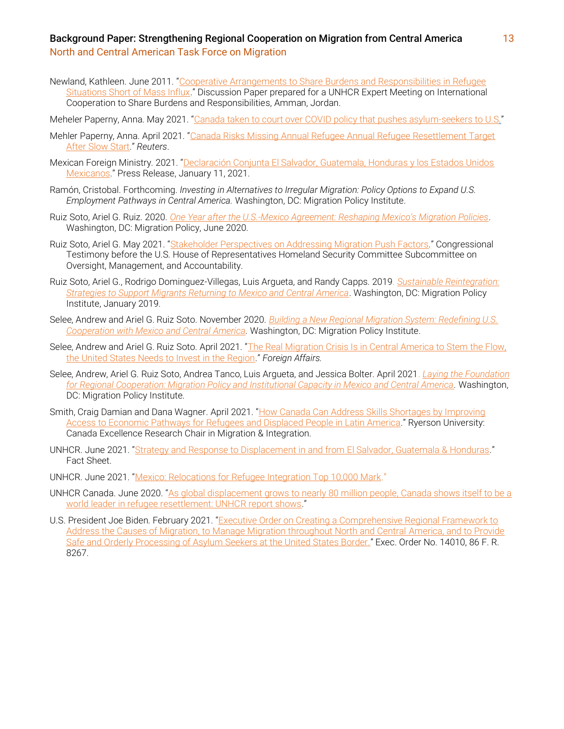#### Background Paper: Strengthening Regional Cooperation on Migration from Central America 13 North and Central American Task Force on Migration

- Newland, Kathleen. June 2011. "[Cooperative Arrangements to Share Burdens and Responsibilities in Refugee](http://www.unhcr.org/4ef332d29.pdf)  [Situations Short of Mass Influx](http://www.unhcr.org/4ef332d29.pdf)." Discussion Paper prepared for a UNHCR Expert Meeting on International Cooperation to Share Burdens and Responsibilities, Amman, Jordan.
- Meheler Paperny, Anna. May 2021. "[Canada taken to court over COVID policy that pushes asylum-seekers to U.S.](http://www.reuters.com/world/americas/exclusive-canada-taken-court-over-covid-policy-that-pushes-asylum-seekers-us-2021-05-04/)"
- Mehler Paperny, Anna. April 2021. "[Canada Risks Missing Annual Refugee Annual Refugee Resettlement Target](http://www.reuters.com/world/americas/canada-risks-missing-annual-refugee-resettlement-target-after-slow-start-2021-04-28/)  [After Slow Start](http://www.reuters.com/world/americas/canada-risks-missing-annual-refugee-resettlement-target-after-slow-start-2021-04-28/)." *Reuters*.
- Mexican Foreign Ministry. 2021. "[Declaración Conjunta El Salvador, Guatemala, Honduras y los Estados Unidos](https://www.gob.mx/cms/uploads/attachment/file/605126/DECLARACIO_N_CONJUNTA._EL_SALVADOR_HONDURAS_GUATEMALA_ME_XICO.pdf)  [Mexicanos](https://www.gob.mx/cms/uploads/attachment/file/605126/DECLARACIO_N_CONJUNTA._EL_SALVADOR_HONDURAS_GUATEMALA_ME_XICO.pdf)." Press Release, January 11, 2021.
- Ramón, Cristobal. Forthcoming. *Investing in Alternatives to Irregular Migration: Policy Options to Expand U.S. Employment Pathways in Central America.* Washington, DC: Migration Policy Institute.
- Ruiz Soto, Ariel G. Ruiz. 2020. *One Year after the U.S.-[Mexico Agreement: Reshaping Mexico's Migration Policies](https://www.migrationpolicy.org/research/one-year-us-mexico-agreement)*. Washington, DC: Migration Policy, June 2020.
- Ruiz Soto, Ariel G. May 2021. "[Stakeholder Perspectives on Addressing Migration Push Factors](http://www.migrationpolicy.org/research/stakeholder-perspectives-addressing-migration-push-factors)." Congressional Testimony before the U.S. House of Representatives Homeland Security Committee Subcommittee on Oversight, Management, and Accountability.
- Ruiz Soto, Ariel G., Rodrigo Dominguez-Villegas, Luis Argueta, and Randy Capps. 2019. *[Sustainable Reintegration:](https://www.migrationpolicy.org/research/sustainable-reintegration-migrants-mexico-central-america)  [Strategies to Support Migrants Returning to Mexico and Central America](https://www.migrationpolicy.org/research/sustainable-reintegration-migrants-mexico-central-america)*. Washington, DC: Migration Policy Institute, January 2019.
- Selee, Andrew and Ariel G. Ruiz Soto. November 2020. *[Building a New Regional Migration System: Redefining U.S.](http://www.migrationpolicy.org/sites/default/files/publications/rethinking-regional-migration_final.pdf)  [Cooperation with Mexico and Central America.](http://www.migrationpolicy.org/sites/default/files/publications/rethinking-regional-migration_final.pdf)* Washington, DC: Migration Policy Institute.
- Selee, Andrew and Ariel G. Ruiz Soto. April 2021. "[The Real Migration Crisis Is in Central America to Stem the Flow,](http://www.foreignaffairs.com/articles/central-america-caribbean/2021-04-13/real-migration-crisis-central-america)  [the United States Needs to Invest in the Region](http://www.foreignaffairs.com/articles/central-america-caribbean/2021-04-13/real-migration-crisis-central-america)." *Foreign Affairs.*
- Selee, Andrew, Ariel G. Ruiz Soto, Andrea Tanco, Luis Argueta, and Jessica Bolter. April 2021. *[Laying the Foundation](http://www.migrationpolicy.org/sites/default/files/publications/mpi-latam_foundation-regional-cooperation_eng-final.pdf)  [for Regional Cooperation: Migration Policy and Institutional Capacity in Mexico and Central America.](http://www.migrationpolicy.org/sites/default/files/publications/mpi-latam_foundation-regional-cooperation_eng-final.pdf)* Washington, DC: Migration Policy Institute.
- Smith, Craig Damian and Dana Wagner. April 2021. "How Canada Can Address Skills Shortages by Improving Access [to Economic Pathways for Refugees and Displaced People in Latin America](http://www.ryerson.ca/content/dam/cerc-migration/Policy/Final_PB_Smith_Wagner_April19.pdf)." Ryerson University: Canada Excellence Research Chair in Migration & Integration.
- UNHCR. June 2021. "[Strategy and Response to Displacement in and from El Salvador, Guatemala & Honduras](https://reporting.unhcr.org/sites/default/files/El%20Salvador-Guatemala-Honduras%20fact%20sheet%20June%202021.pdf)." Fact Sheet.
- UNHCR. June 2021. "[Mexico: Relocations for Refugee Integration Top 10,000 Mark](http://www.unhcr.org/news/briefing/2021/6/60bf24204/mexico-relocations-refugee-integration-top-10000-mark.html)."
- UNHCR Canada. June 2020. "[As global displacement grows to nearly 80 million people, Canada shows itself to be a](http://www.unhcr.ca/news/global-displacement-grows-80-million-people-canada-world-leader-refugee-resettlement/)  [world leader in refugee resettlement: UNHCR report shows](http://www.unhcr.ca/news/global-displacement-grows-80-million-people-canada-world-leader-refugee-resettlement/)."
- U.S. President Joe Biden. February 2021. "Executive Order on Creating a Comprehensive Regional Framework to [Address the Causes of Migration, to Manage Migration throughout North and Central](http://www.whitehouse.gov/briefing-room/presidential-actions/2021/02/02/executive-order-creating-a-comprehensive-regional-framework-to-address-the-causes-of-migration-to-manage-migration-throughout-north-and-central-america-and-to-provide-safe-and-orderly-processing/) America, and to Provide [Safe and Orderly Processing of Asylum Seekers at the United States Border.](http://www.whitehouse.gov/briefing-room/presidential-actions/2021/02/02/executive-order-creating-a-comprehensive-regional-framework-to-address-the-causes-of-migration-to-manage-migration-throughout-north-and-central-america-and-to-provide-safe-and-orderly-processing/)" Exec. Order No. 14010, 86 F. R. 8267.